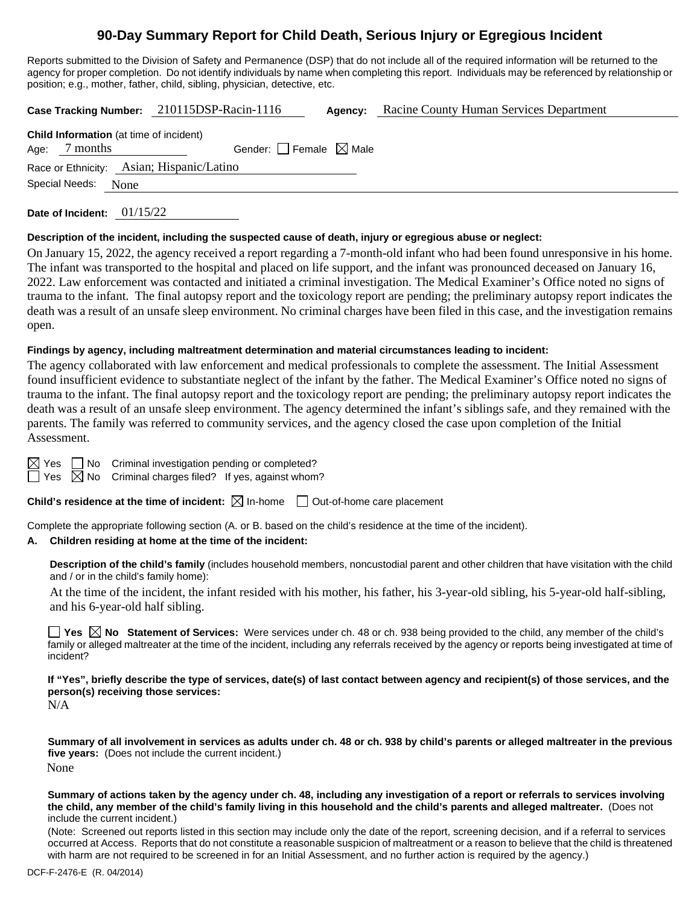# **90-Day Summary Report for Child Death, Serious Injury or Egregious Incident**

Reports submitted to the Division of Safety and Permanence (DSP) that do not include all of the required information will be returned to the agency for proper completion. Do not identify individuals by name when completing this report. Individuals may be referenced by relationship or position; e.g., mother, father, child, sibling, physician, detective, etc.

**Case Tracking Number:** 210115DSP-Racin-1116 **Agency:** Racine County Human Services Department

| <b>Child Information</b> (at time of incident) |                                 |  |  |  |
|------------------------------------------------|---------------------------------|--|--|--|
| Age: 7 months                                  | Gender: Female $\boxtimes$ Male |  |  |  |
| Race or Ethnicity: Asian; Hispanic/Latino      |                                 |  |  |  |
| Special Needs: None                            |                                 |  |  |  |

**Date of Incident:** 01/15/22

#### **Description of the incident, including the suspected cause of death, injury or egregious abuse or neglect:**

On January 15, 2022, the agency received a report regarding a 7-month-old infant who had been found unresponsive in his home. The infant was transported to the hospital and placed on life support, and the infant was pronounced deceased on January 16, 2022. Law enforcement was contacted and initiated a criminal investigation. The Medical Examiner's Office noted no signs of trauma to the infant. The final autopsy report and the toxicology report are pending; the preliminary autopsy report indicates the death was a result of an unsafe sleep environment. No criminal charges have been filed in this case, and the investigation remains open.

#### **Findings by agency, including maltreatment determination and material circumstances leading to incident:**

The agency collaborated with law enforcement and medical professionals to complete the assessment. The Initial Assessment found insufficient evidence to substantiate neglect of the infant by the father. The Medical Examiner's Office noted no signs of trauma to the infant. The final autopsy report and the toxicology report are pending; the preliminary autopsy report indicates the death was a result of an unsafe sleep environment. The agency determined the infant's siblings safe, and they remained with the parents. The family was referred to community services, and the agency closed the case upon completion of the Initial Assessment.

 $\boxtimes$  Yes  $\Box$  No Criminal investigation pending or completed?

 $\Box$  Yes  $\boxtimes$  No Criminal charges filed? If yes, against whom?

**Child's residence at the time of incident:**  $\boxtimes$  In-home  $\Box$  Out-of-home care placement

Complete the appropriate following section (A. or B. based on the child's residence at the time of the incident).

# **A. Children residing at home at the time of the incident:**

**Description of the child's family** (includes household members, noncustodial parent and other children that have visitation with the child and / or in the child's family home):

At the time of the incident, the infant resided with his mother, his father, his 3-year-old sibling, his 5-year-old half-sibling, and his 6-year-old half sibling.

**Yes**  $\boxtimes$  **No** Statement of Services: Were services under ch. 48 or ch. 938 being provided to the child, any member of the child's family or alleged maltreater at the time of the incident, including any referrals received by the agency or reports being investigated at time of incident?

**If "Yes", briefly describe the type of services, date(s) of last contact between agency and recipient(s) of those services, and the person(s) receiving those services:**

N/A

**Summary of all involvement in services as adults under ch. 48 or ch. 938 by child's parents or alleged maltreater in the previous five years:** (Does not include the current incident.) None

**Summary of actions taken by the agency under ch. 48, including any investigation of a report or referrals to services involving the child, any member of the child's family living in this household and the child's parents and alleged maltreater.** (Does not include the current incident.)

(Note: Screened out reports listed in this section may include only the date of the report, screening decision, and if a referral to services occurred at Access. Reports that do not constitute a reasonable suspicion of maltreatment or a reason to believe that the child is threatened with harm are not required to be screened in for an Initial Assessment, and no further action is required by the agency.)